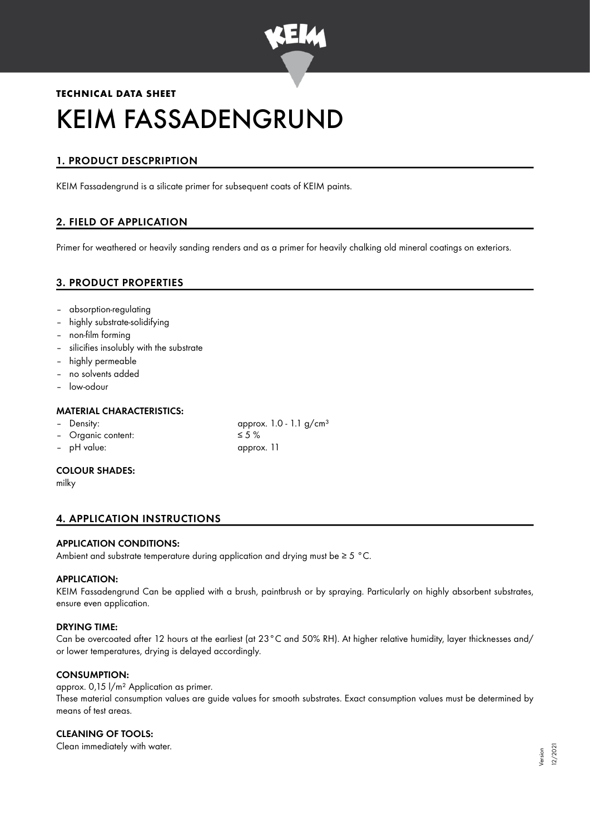

# **TECHNICAL DATA SHEET** KEIM FASSADENGRUND

# 1. PRODUCT DESCPRIPTION

KEIM Fassadengrund is a silicate primer for subsequent coats of KEIM paints.

# 2. FIELD OF APPLICATION

Primer for weathered or heavily sanding renders and as a primer for heavily chalking old mineral coatings on exteriors.

## 3. PRODUCT PROPERTIES

- absorption-regulating
- highly substrate-solidifying
- non-film forming
- silicifies insolubly with the substrate
- highly permeable
- no solvents added
- low-odour

### MATERIAL CHARACTERISTICS:

– Organic content: ≤ 5 %

– pH value: approx. 11

– Density: approx. 1.0 - 1.1 g/cm<sup>3</sup>

### COLOUR SHADES:

milky

# 4. APPLICATION INSTRUCTIONS

### APPLICATION CONDITIONS:

Ambient and substrate temperature during application and drying must be ≥ 5 °C.

### APPLICATION:

KEIM Fassadengrund Can be applied with a brush, paintbrush or by spraying. Particularly on highly absorbent substrates, ensure even application.

### DRYING TIME:

Can be overcoated after 12 hours at the earliest (at 23°C and 50% RH). At higher relative humidity, layer thicknesses and/ or lower temperatures, drying is delayed accordingly.

### CONSUMPTION:

approx. 0,15 l/m² Application as primer. These material consumption values are guide values for smooth substrates. Exact consumption values must be determined by means of test areas.

## CLEANING OF TOOLS:

Clean immediately with water.